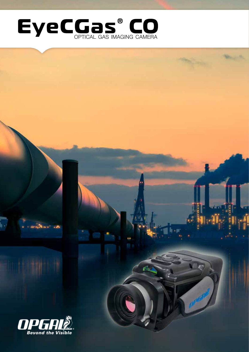

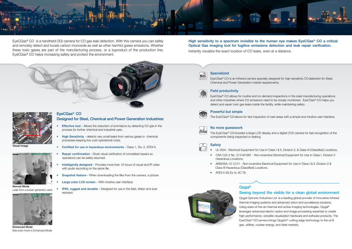

Visual Image

# Opgal®

### Seeing beyond the visible for a clean global environment

Opgal Optronic Industries Ltd. is a leading global provider of innovative infrared thermal imaging systems and advanced vision and surveillance solutions. Using state-of-the-art thermal and active-imaging technologies, Opgal® leverages advanced electro-optics and image processing expertise to create high performance, versatile visualization hardware and software products. The EyeCGas® CO camera brings Opgal's® cutting edge technology to the oil & gas, utilities, nuclear energy, and steel markets.

High sensitivity to a spectrum invisible to the human eye makes EyeCGas<sup>®</sup> CO a critical Optical Gas Imaging tool for fugitive emissions detection and leak repair verification.



EyeCGas® CO is a handheld OGI camera for CO gas leak detection. With this camera you can safely and remotely detect and locate carbon monoxide as well as other harmful gases emissions. Whether these toxic gases are part of the manufacturing process, or a byproduct of the production line, EyeCGas® CO helps increasing safety and protect the environment.

- Effective tool Allows the reduction of emmisions by detecting CO gas in the process for further chemical and industrial uses.
- **High Sensitivity detects very small leaks from various gases in chemical** processes keeping low cost operational costs.
- Certified for use in hazardous environments Class 1, Div. 2, ATEX II.
- Repair confirmation Gives visual verification of completed repairs so operations can be safely resumed.
- Intelligently designed Provides more than 10 hours of visual and IR video with audio recording on the same file.
- Snapshot feature When downloading the files from the camera, a picture
- Large color LCD screen With intuitive user interface.
- IP65, rugged and durable Designed for use in the field, Water and dust resistant.

Instantly visualize the exact location of CO leaks, even at a distance.



### **Specialized**

### EyeCGas® CO Designed for Steel, Chemical and Power Generation Industries:

- 
- Hazardous Locations.
- Class III Hazardous (Classified) Locations.
- ATEX II 3G Ex nL IIC T6.





Enhanced Mode See even more in Enhanced Mode

EyeCGas® CO is an infrared camera specially designed for high sensitivity CO detection for Steel, Chemical and Power Generation market requirements.

| ٠<br>E |
|--------|
| IC     |

### eld productivity

EyeCGas® CO allows for routine and on-demand inspections in the steel manufacturing operations and other industries where CO emissions need to be closely monitored. EveCGas® CO helps you detect and repair toxic gas leaks inside the facility, while maintaining safety.



### Powerful but simple

The EyeCGas® CO allows for fast inspection of vast areas with a simple and intuitive user interface.



### No more guesswork

The EyeCGas® CO includes a large LCD display and a digital CCD camera for fast recognition of the components being inspected or leaking.

### **Safety**

• UL1604 - Electrical Equipment for Use in Class I & II, Division 2, & Class III (Classified) Locations. • CSA C22.2 No. 213-M1987 - Non-incendive Electrical Equipment for Use in Class I, Division 2

• ANSI/ISA-12.12.01 - Non-incendive Electrical Equipment for Use in Class I & II. Division 2 &



Normal Mode Leak from a power generator valve